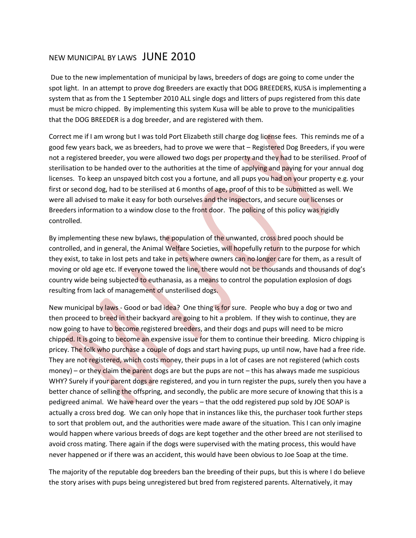## NEW MUNICIPAL BY LAWS JUNE 2010

Due to the new implementation of municipal by laws, breeders of dogs are going to come under the spot light. In an attempt to prove dog Breeders are exactly that DOG BREEDERS, KUSA is implementing a system that as from the 1 September 2010 ALL single dogs and litters of pups registered from this date must be micro chipped. By implementing this system Kusa will be able to prove to the municipalities that the DOG BREEDER is a dog breeder, and are registered with them.

Correct me if I am wrong but I was told Port Elizabeth still charge dog license fees. This reminds me of a good few years back, we as breeders, had to prove we were that – Registered Dog Breeders, if you were not a registered breeder, you were allowed two dogs per property and they had to be sterilised. Proof of sterilisation to be handed over to the authorities at the time of applying and paying for your annual dog licenses. To keep an unspayed bitch cost you a fortune, and all pups you had on your property e.g. your first or second dog, had to be sterilised at 6 months of age, proof of this to be submitted as well. We were all advised to make it easy for both ourselves and the inspectors, and secure our licenses or Breeders information to a window close to the front door. The policing of this policy was rigidly controlled.

By implementing these new bylaws, the population of the unwanted, cross bred pooch should be controlled, and in general, the Animal Welfare Societies, will hopefully return to the purpose for which they exist, to take in lost pets and take in pets where owners can no longer care for them, as a result of moving or old age etc. If everyone towed the line, there would not be thousands and thousands of dog's country wide being subjected to euthanasia, as a means to control the population explosion of dogs resulting from lack of management of unsterilised dogs.

New municipal by laws - Good or bad idea? One thing is for sure. People who buy a dog or two and then proceed to breed in their backyard are going to hit a problem. If they wish to continue, they are now going to have to become registered breeders, and their dogs and pups will need to be micro chipped. It is going to become an expensive issue for them to continue their breeding. Micro chipping is pricey. The folk who purchase a couple of dogs and start having pups, up until now, have had a free ride. They are not registered, which costs money, their pups in a lot of cases are not registered (which costs money) – or they claim the parent dogs are but the pups are not – this has always made me suspicious WHY? Surely if your parent dogs are registered, and you in turn register the pups, surely then you have a better chance of selling the offspring, and secondly, the public are more secure of knowing that this is a pedigreed animal. We have heard over the years – that the odd registered pup sold by JOE SOAP is actually a cross bred dog. We can only hope that in instances like this, the purchaser took further steps to sort that problem out, and the authorities were made aware of the situation. This I can only imagine would happen where various breeds of dogs are kept together and the other breed are not sterilised to avoid cross mating. There again if the dogs were supervised with the mating process, this would have never happened or if there was an accident, this would have been obvious to Joe Soap at the time.

The majority of the reputable dog breeders ban the breeding of their pups, but this is where I do believe the story arises with pups being unregistered but bred from registered parents. Alternatively, it may